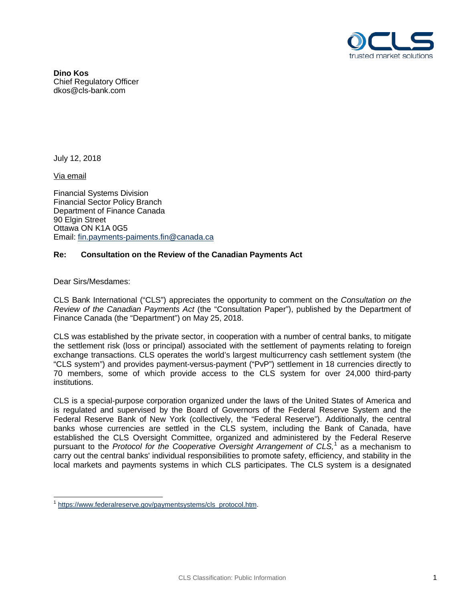

**Dino Kos** Chief Regulatory Officer dkos@cls-bank.com

July 12, 2018

Via email

Financial Systems Division Financial Sector Policy Branch Department of Finance Canada 90 Elgin Street Ottawa ON K1A 0G5 Email: [fin.payments-paiments.fin@canada.ca](mailto:fin.payments-paiments.fin@canada.ca)

## **Re: Consultation on the Review of the Canadian Payments Act**

Dear Sirs/Mesdames:

CLS Bank International ("CLS") appreciates the opportunity to comment on the *Consultation on the Review of the Canadian Payments Act* (the "Consultation Paper"), published by the Department of Finance Canada (the "Department") on May 25, 2018.

CLS was established by the private sector, in cooperation with a number of central banks, to mitigate the settlement risk (loss or principal) associated with the settlement of payments relating to foreign exchange transactions. CLS operates the world's largest multicurrency cash settlement system (the "CLS system") and provides payment-versus-payment ("PvP") settlement in 18 currencies directly to 70 members, some of which provide access to the CLS system for over 24,000 third-party institutions.

CLS is a special-purpose corporation organized under the laws of the United States of America and is regulated and supervised by the Board of Governors of the Federal Reserve System and the Federal Reserve Bank of New York (collectively, the "Federal Reserve"). Additionally, the central banks whose currencies are settled in the CLS system, including the Bank of Canada, have established the CLS Oversight Committee, organized and administered by the Federal Reserve pursuant to the *Protocol for the Cooperative Oversight Arrangement of CLS,* [1](#page-0-0) as a mechanism to carry out the central banks' individual responsibilities to promote safety, efficiency, and stability in the local markets and payments systems in which CLS participates. The CLS system is a designated

<span id="page-0-0"></span>[https://www.federalreserve.gov/paymentsystems/cls\\_protocol.htm.](https://www.federalreserve.gov/paymentsystems/cls_protocol.htm)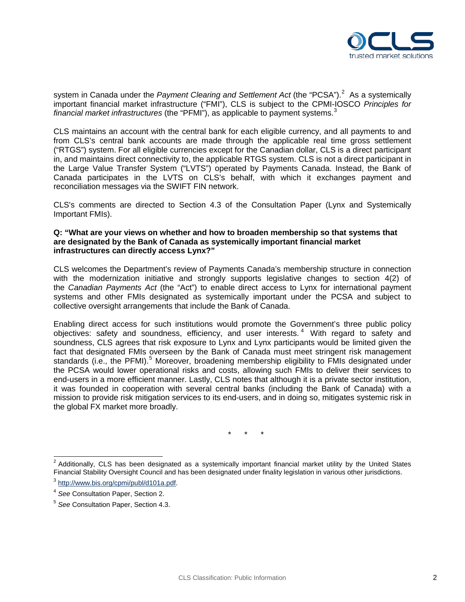

system in Canada under the *Payment Clearing and Settlement Act* (the "PCSA").<sup>[2](#page-1-0)</sup> As a systemically important financial market infrastructure ("FMI"), CLS is subject to the CPMI-IOSCO *Principles for financial market infrastructures* (the "PFMI"), as applicable to payment systems.[3](#page-1-1)

CLS maintains an account with the central bank for each eligible currency, and all payments to and from CLS's central bank accounts are made through the applicable real time gross settlement ("RTGS") system. For all eligible currencies except for the Canadian dollar, CLS is a direct participant in, and maintains direct connectivity to, the applicable RTGS system. CLS is not a direct participant in the Large Value Transfer System ("LVTS") operated by Payments Canada. Instead, the Bank of Canada participates in the LVTS on CLS's behalf, with which it exchanges payment and reconciliation messages via the SWIFT FIN network.

CLS's comments are directed to Section 4.3 of the Consultation Paper (Lynx and Systemically Important FMIs).

## **Q: "What are your views on whether and how to broaden membership so that systems that are designated by the Bank of Canada as systemically important financial market infrastructures can directly access Lynx?"**

CLS welcomes the Department's review of Payments Canada's membership structure in connection with the modernization initiative and strongly supports legislative changes to section 4(2) of the *Canadian Payments Act* (the "Act") to enable direct access to Lynx for international payment systems and other FMIs designated as systemically important under the PCSA and subject to collective oversight arrangements that include the Bank of Canada.

Enabling direct access for such institutions would promote the Government's three public policy objectives: safety and soundness, efficiency, and user interests. [4](#page-1-2) With regard to safety and soundness, CLS agrees that risk exposure to Lynx and Lynx participants would be limited given the fact that designated FMIs overseen by the Bank of Canada must meet stringent risk management standards (i.e., the PFMI).<sup>[5](#page-1-3)</sup> Moreover, broadening membership eligibility to FMIs designated under the PCSA would lower operational risks and costs, allowing such FMIs to deliver their services to end-users in a more efficient manner. Lastly, CLS notes that although it is a private sector institution, it was founded in cooperation with several central banks (including the Bank of Canada) with a mission to provide risk mitigation services to its end-users, and in doing so, mitigates systemic risk in the global FX market more broadly.

\* \* \*

<span id="page-1-0"></span> $2$  Additionally, CLS has been designated as a systemically important financial market utility by the United States Financial Stability Oversight Council and has been designated under finality legislation in various other jurisdictions.

<span id="page-1-1"></span><sup>3</sup> [http://www.bis.org/cpmi/publ/d101a.pdf.](http://www.bis.org/cpmi/publ/d101a.pdf)

<span id="page-1-2"></span><sup>4</sup> *See* Consultation Paper, Section 2.

<span id="page-1-3"></span><sup>5</sup> *See* Consultation Paper, Section 4.3.